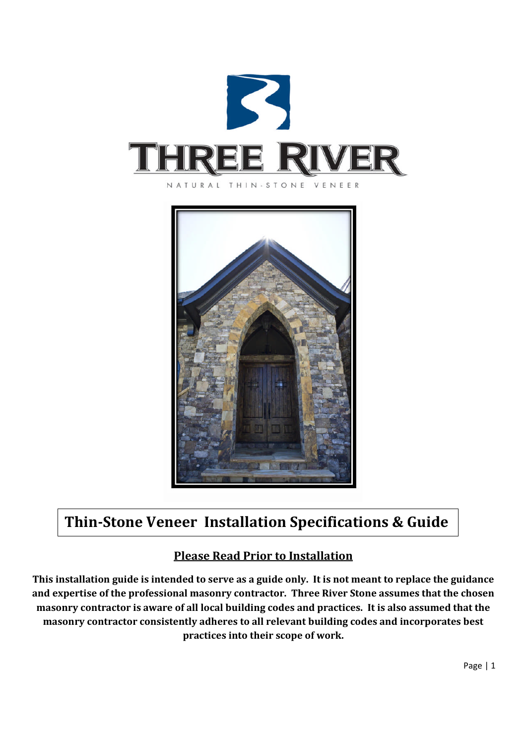



# **Thin-Stone Veneer Installation Specifications & Guide**

## **Please Read Prior to Installation**

**This installation guide is intended to serve as a guide only. It is not meant to replace the guidance and expertise of the professional masonry contractor. Three River Stone assumes that the chosen masonry contractor is aware of all local building codes and practices. It is also assumed that the masonry contractor consistently adheres to all relevant building codes and incorporates best practices into their scope of work.**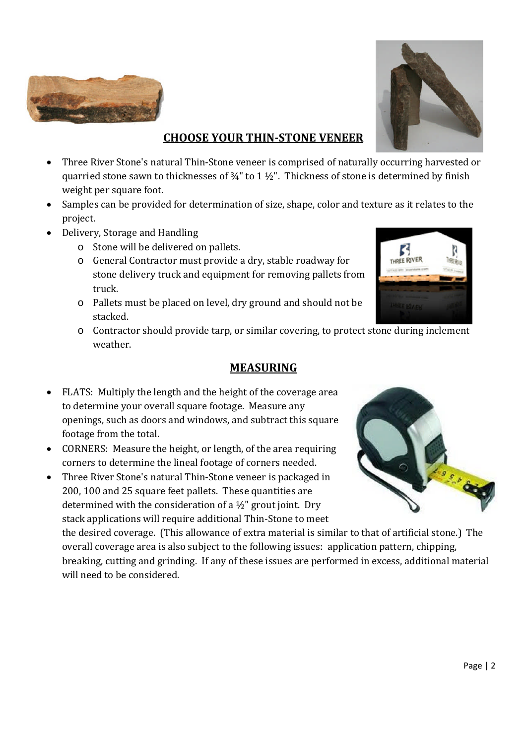



#### **CHOOSE YOUR THIN-STONE VENEER**

- Three River Stone's natural Thin-Stone veneer is comprised of naturally occurring harvested or quarried stone sawn to thicknesses of  $\frac{3}{4}$ " to 1  $\frac{1}{2}$ ". Thickness of stone is determined by finish weight per square foot.
- Samples can be provided for determination of size, shape, color and texture as it relates to the project.
- Delivery, Storage and Handling
	- o Stone will be delivered on pallets.
	- o General Contractor must provide a dry, stable roadway for stone delivery truck and equipment for removing pallets from truck.
	- o Pallets must be placed on level, dry ground and should not be stacked.
	- o Contractor should provide tarp, or similar covering, to protect stone during inclement weather.

#### **MEASURING**

- FLATS: Multiply the length and the height of the coverage area to determine your overall square footage. Measure any openings, such as doors and windows, and subtract this square footage from the total.
- CORNERS: Measure the height, or length, of the area requiring corners to determine the lineal footage of corners needed.
- Three River Stone's natural Thin-Stone veneer is packaged in 200, 100 and 25 square feet pallets. These quantities are determined with the consideration of a  $\frac{1}{2}$ " grout joint. Dry stack applications will require additional Thin-Stone to meet

the desired coverage. (This allowance of extra material is similar to that of artificial stone.) The overall coverage area is also subject to the following issues: application pattern, chipping, breaking, cutting and grinding. If any of these issues are performed in excess, additional material will need to be considered.



B THREE RIVER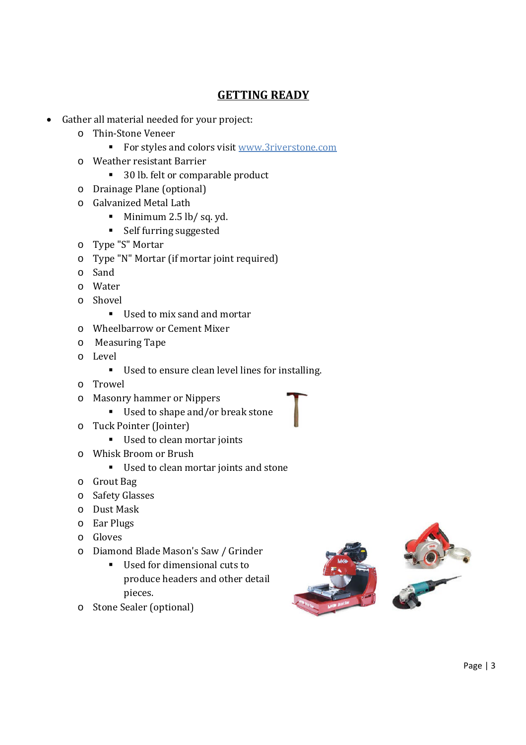### **GETTING READY**

- Gather all material needed for your project:
	- o Thin-Stone Veneer
		- For styles and colors visit www.3riverstone.com
	- o Weather resistant Barrier
		- 30 lb. felt or comparable product
	- o Drainage Plane (optional)
	- o Galvanized Metal Lath
		- Minimum  $2.5$  lb/sq. yd.
		- Self furring suggested
	- o Type "S" Mortar
	- o Type "N" Mortar (if mortar joint required)
	- o Sand
	- o Water
	- o Shovel
		- Used to mix sand and mortar
	- o Wheelbarrow or Cement Mixer
	- o Measuring Tape
	- o Level
		- Used to ensure clean level lines for installing.
	- o Trowel
	- o Masonry hammer or Nippers
		- Used to shape and/or break stone
	- o Tuck Pointer (Jointer)
		- Used to clean mortar joints
	- o Whisk Broom or Brush
		- Used to clean mortar joints and stone
	- o Grout Bag
	- o Safety Glasses
	- o Dust Mask
	- o Ear Plugs
	- o Gloves
	- o Diamond Blade Mason's Saw / Grinder
		- Used for dimensional cuts to produce headers and other detail pieces.
	- o Stone Sealer (optional)

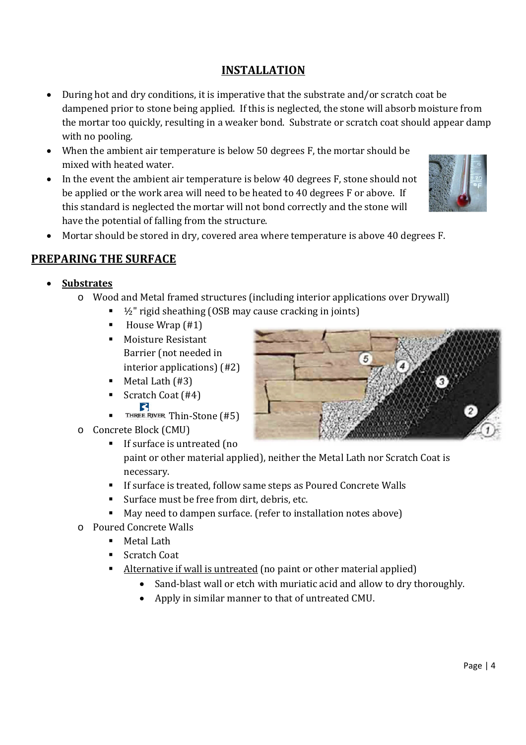### **INSTALLATION**

- During hot and dry conditions, it is imperative that the substrate and/or scratch coat be dampened prior to stone being applied. If this is neglected, the stone will absorb moisture from the mortar too quickly, resulting in a weaker bond. Substrate or scratch coat should appear damp with no pooling.
- When the ambient air temperature is below 50 degrees F, the mortar should be mixed with heated water.
- In the event the ambient air temperature is below 40 degrees F, stone should not be applied or the work area will need to be heated to 40 degrees F or above. If this standard is neglected the mortar will not bond correctly and the stone will have the potential of falling from the structure.



Mortar should be stored in dry, covered area where temperature is above 40 degrees F.

### **PREPARING THE SURFACE**

- **Substrates**
	- o Wood and Metal framed structures (including interior applications over Drywall)
		- $\blacksquare$   $\frac{1}{2}$ " rigid sheathing (OSB may cause cracking in joints)
		- $\blacksquare$  House Wrap  $(\#1)$
		- Moisture Resistant Barrier (not needed in interior applications) (#2)
		- $Meta$  Lath (#3)
		- Scratch Coat  $(#4)$
		- THREE RIVER Thin-Stone  $(#5)$
	- o Concrete Block (CMU)
		- **If surface is untreated (no** paint or other material applied), neither the Metal Lath nor Scratch Coat is necessary.
		- **If surface is treated, follow same steps as Poured Concrete Walls**
		- Surface must be free from dirt, debris, etc.
		- May need to dampen surface. (refer to installation notes above)
	- o Poured Concrete Walls
		- Metal Lath
		- Scratch Coat
		- Alternative if wall is untreated (no paint or other material applied)
			- Sand-blast wall or etch with muriatic acid and allow to dry thoroughly.
			- Apply in similar manner to that of untreated CMU.

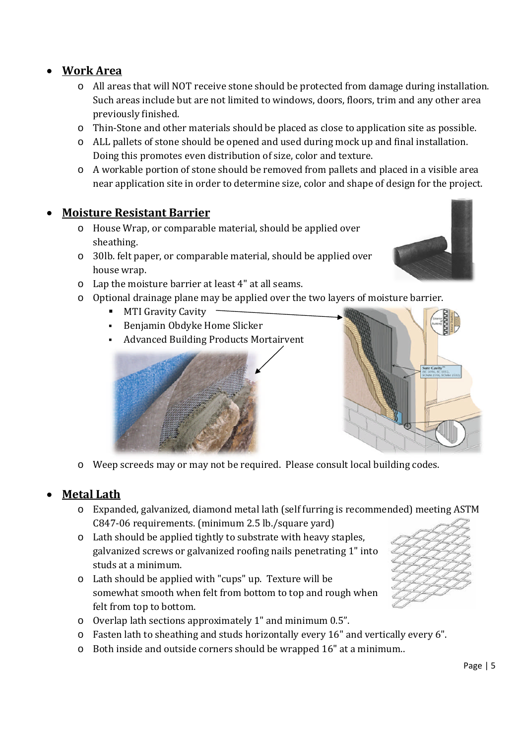**Work Area**

- o All areas that will NOT receive stone should be protected from damage during installation. Such areas include but are not limited to windows, doors, floors, trim and any other area previously finished.
- o Thin-Stone and other materials should be placed as close to application site as possible.
- o ALL pallets of stone should be opened and used during mock up and final installation. Doing this promotes even distribution of size, color and texture.
- o A workable portion of stone should be removed from pallets and placed in a visible area near application site in order to determine size, color and shape of design for the project.

### **Moisture Resistant Barrier**

- o House Wrap, or comparable material, should be applied over sheathing.
- o 30lb. felt paper, or comparable material, should be applied over house wrap.
- o Lap the moisture barrier at least 4" at all seams.
- o Optional drainage plane may be applied over the two layers of moisture barrier.
	- MTI Gravity Cavity
	- Benjamin Obdyke Home Slicker
	- Advanced Building Products Mortairvent

o Weep screeds may or may not be required. Please consult local building codes.

## **Metal Lath**

- o Expanded, galvanized, diamond metal lath (self furring is recommended) meeting ASTM C847-06 requirements. (minimum 2.5 lb./square yard)
- o Lath should be applied tightly to substrate with heavy staples, galvanized screws or galvanized roofing nails penetrating 1" into studs at a minimum.
- o Lath should be applied with "cups" up. Texture will be somewhat smooth when felt from bottom to top and rough when felt from top to bottom.
- o Overlap lath sections approximately 1" and minimum 0.5".
- o Fasten lath to sheathing and studs horizontally every 16" and vertically every 6".
- o Both inside and outside corners should be wrapped 16" at a minimum..







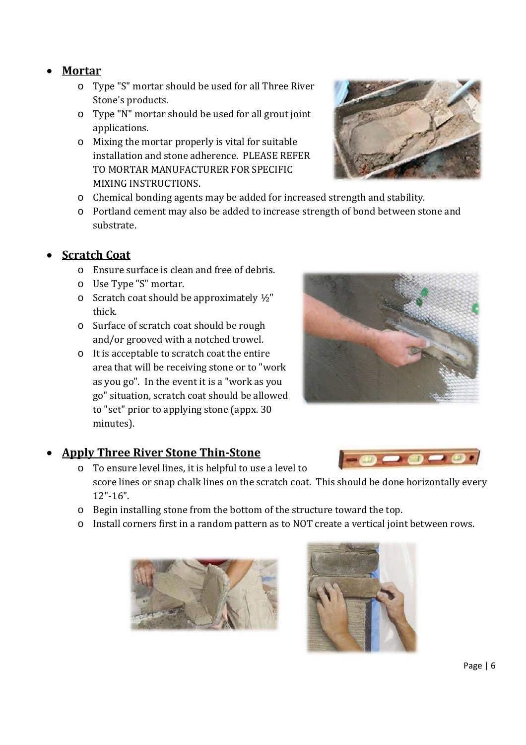#### **Mortar**

- o Type "S" mortar should be used for all Three River Stone's products.
- o Type "N" mortar should be used for all grout joint applications.
- o Mixing the mortar properly is vital for suitable installation and stone adherence. PLEASE REFER TO MORTAR MANUFACTURER FOR SPECIFIC MIXING INSTRUCTIONS.



o Portland cement may also be added to increase strength of bond between stone and substrate.

### **Scratch Coat**

- o Ensure surface is clean and free of debris.
- o Use Type "S" mortar.
- $\circ$  Scratch coat should be approximately  $\frac{1}{2}$ " thick.
- o Surface of scratch coat should be rough and/or grooved with a notched trowel.
- o It is acceptable to scratch coat the entire area that will be receiving stone or to "work as you go". In the event it is a "work as you go" situation, scratch coat should be allowed to "set" prior to applying stone (appx. 30 minutes).

#### **Apply Three River Stone Thin-Stone**

- o To ensure level lines, it is helpful to use a level to score lines or snap chalk lines on the scratch coat. This should be done horizontally every 12"-16".
- o Begin installing stone from the bottom of the structure toward the top.
- o Install corners first in a random pattern as to NOT create a vertical joint between rows.







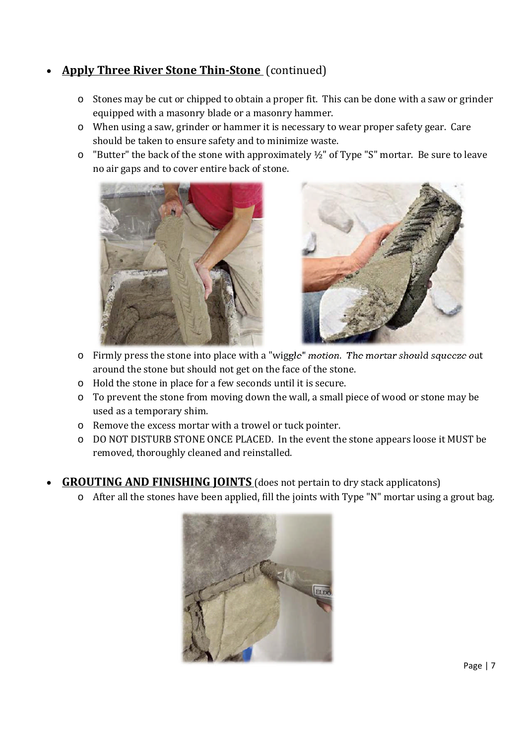### **Apply Three River Stone Thin-Stone** (continued)

- o Stones may be cut or chipped to obtain a proper fit. This can be done with a saw or grinder equipped with a masonry blade or a masonry hammer.
- o When using a saw, grinder or hammer it is necessary to wear proper safety gear. Care should be taken to ensure safety and to minimize waste.
- $\circ$  "Butter" the back of the stone with approximately  $\frac{1}{2}$ " of Type "S" mortar. Be sure to leave no air gaps and to cover entire back of stone.





- o Firmly press the stone into place with a "wiggle" motion. The mortar should squeeze out around the stone but should not get on the face of the stone.
- o Hold the stone in place for a few seconds until it is secure.
- o To prevent the stone from moving down the wall, a small piece of wood or stone may be used as a temporary shim.
- o Remove the excess mortar with a trowel or tuck pointer.
- o DO NOT DISTURB STONE ONCE PLACED. In the event the stone appears loose it MUST be removed, thoroughly cleaned and reinstalled.
- **GROUTING AND FINISHING JOINTS** (does not pertain to dry stack applicatons)
	- o After all the stones have been applied, fill the joints with Type "N" mortar using a grout bag.